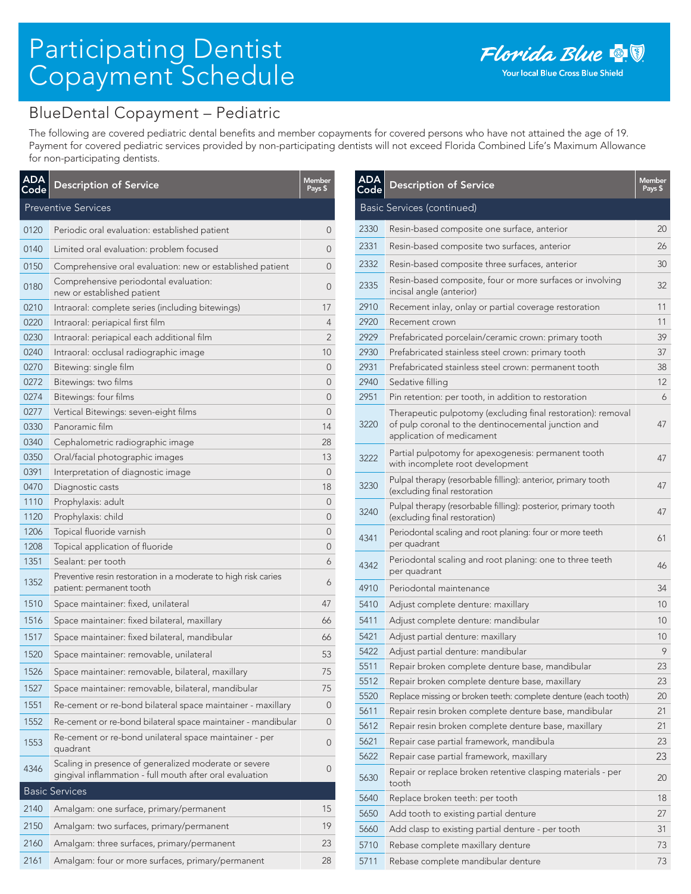## Participating Dentist Copayment Schedule

## BlueDental Copayment – Pediatric

The following are covered pediatric dental benefits and member copayments for covered persons who have not attained the age of 19. Payment for covered pediatric services provided by non-participating dentists will not exceed Florida Combined Life's Maximum Allowance for non-participating dentists.

| <b>ADA</b><br><u>Code</u> | <b>Description of Service</b>                                                                                     | Member<br>Pays \$ |
|---------------------------|-------------------------------------------------------------------------------------------------------------------|-------------------|
|                           | <b>Preventive Services</b>                                                                                        |                   |
| 0120                      | Periodic oral evaluation: established patient                                                                     | 0                 |
| 0140                      | Limited oral evaluation: problem focused                                                                          | 0                 |
| 0150                      | Comprehensive oral evaluation: new or established patient                                                         | 0                 |
| 0180                      | Comprehensive periodontal evaluation:<br>new or established patient                                               | 0                 |
| 0210                      | Intraoral: complete series (including bitewings)                                                                  | 17                |
| 0220                      | Intraoral: periapical first film                                                                                  | 4                 |
| 0230                      | Intraoral: periapical each additional film                                                                        | 2                 |
| 0240                      | Intraoral: occlusal radiographic image                                                                            | 10                |
| 0270                      | Bitewing: single film                                                                                             | 0                 |
| 0272                      | Bitewings: two films                                                                                              | 0                 |
| 0274                      | Bitewings: four films                                                                                             | 0                 |
| 0277                      | Vertical Bitewings: seven-eight films                                                                             | 0                 |
| 0330                      | Panoramic film                                                                                                    | 14                |
| 0340                      | Cephalometric radiographic image                                                                                  | 28                |
| 0350                      | Oral/facial photographic images                                                                                   | 13                |
| 0391                      | Interpretation of diagnostic image                                                                                | 0                 |
| 0470                      | Diagnostic casts                                                                                                  | 18                |
| 1110                      | Prophylaxis: adult                                                                                                | 0                 |
| 1120                      | Prophylaxis: child                                                                                                | 0                 |
| 1206                      | Topical fluoride varnish                                                                                          | 0                 |
| 1208                      | Topical application of fluoride                                                                                   | 0                 |
| 1351                      | Sealant: per tooth                                                                                                | 6                 |
| 1352                      | Preventive resin restoration in a moderate to high risk caries<br>patient: permanent tooth                        | 6                 |
| 1510                      | Space maintainer: fixed, unilateral                                                                               | 47                |
| 1516                      | Space maintainer: fixed bilateral, maxillary                                                                      | 66                |
| 1517                      | Space maintainer: fixed bilateral, mandibular                                                                     | 66                |
| 1520                      | Space maintainer: removable, unilateral                                                                           | 53                |
| 1526                      | Space maintainer: removable, bilateral, maxillary                                                                 | 75                |
| 1527                      | Space maintainer: removable, bilateral, mandibular                                                                | 75                |
| 1551                      | Re-cement or re-bond bilateral space maintainer - maxillary                                                       | 0                 |
| 1552                      | Re-cement or re-bond bilateral space maintainer - mandibular                                                      | 0                 |
| 1553                      | Re-cement or re-bond unilateral space maintainer - per<br>quadrant                                                | 0                 |
| 4346                      | Scaling in presence of generalized moderate or severe<br>gingival inflammation - full mouth after oral evaluation | 0                 |
|                           | <b>Basic Services</b>                                                                                             |                   |
| 2140                      | Amalgam: one surface, primary/permanent                                                                           | 15                |
| 2150                      | Amalgam: two surfaces, primary/permanent                                                                          | 19                |
| 2160                      | Amalgam: three surfaces, primary/permanent                                                                        | 23                |
| 2161                      | Amalgam: four or more surfaces, primary/permanent                                                                 | 28                |

| <b>ADA</b><br>Code | <b>Description of Service</b>                                                                                                                    | <b>Member</b><br>Pays \$ |
|--------------------|--------------------------------------------------------------------------------------------------------------------------------------------------|--------------------------|
|                    | Basic Services (continued)                                                                                                                       |                          |
| 2330               | Resin-based composite one surface, anterior                                                                                                      | 20                       |
| 2331               | Resin-based composite two surfaces, anterior                                                                                                     | 26                       |
| 2332               | Resin-based composite three surfaces, anterior                                                                                                   | 30                       |
| 2335               | Resin-based composite, four or more surfaces or involving<br>incisal angle (anterior)                                                            | 32                       |
| 2910               | Recement inlay, onlay or partial coverage restoration                                                                                            | 11                       |
| 2920               | Recement crown                                                                                                                                   | 11                       |
| 2929               | Prefabricated porcelain/ceramic crown: primary tooth                                                                                             | 39                       |
| 2930               | Prefabricated stainless steel crown: primary tooth                                                                                               | 37                       |
| 2931               | Prefabricated stainless steel crown: permanent tooth                                                                                             | 38                       |
| 2940               | Sedative filling                                                                                                                                 | 12                       |
| 2951               | Pin retention: per tooth, in addition to restoration                                                                                             | 6                        |
| 3220               | Therapeutic pulpotomy (excluding final restoration): removal<br>of pulp coronal to the dentinocemental junction and<br>application of medicament | 47                       |
| 3222               | Partial pulpotomy for apexogenesis: permanent tooth<br>with incomplete root development                                                          | 47                       |
| 3230               | Pulpal therapy (resorbable filling): anterior, primary tooth<br>(excluding final restoration                                                     | 47                       |
| 3240               | Pulpal therapy (resorbable filling): posterior, primary tooth<br>(excluding final restoration)                                                   | 47                       |
| 4341               | Periodontal scaling and root planing: four or more teeth<br>per quadrant                                                                         | 61                       |
| 4342               | Periodontal scaling and root planing: one to three teeth<br>per quadrant                                                                         | 46                       |
| 4910               | Periodontal maintenance                                                                                                                          | 34                       |
| 5410               | Adjust complete denture: maxillary                                                                                                               | 10                       |
| 5411               | Adjust complete denture: mandibular                                                                                                              | 10                       |
| 5421               | Adjust partial denture: maxillary                                                                                                                | 10                       |
| 5422               | Adjust partial denture: mandibular                                                                                                               | 9                        |
| 5511               | Repair broken complete denture base, mandibular                                                                                                  | 23                       |
| 5512               | Repair broken complete denture base, maxillary                                                                                                   | 23                       |
| 5520               | Replace missing or broken teeth: complete denture (each tooth)                                                                                   | 20                       |
| 5611               | Repair resin broken complete denture base, mandibular                                                                                            | 21                       |
| 5612               | Repair resin broken complete denture base, maxillary                                                                                             | 21                       |
| 5621               | Repair case partial framework, mandibula                                                                                                         | 23                       |
| 5622               | Repair case partial framework, maxillary                                                                                                         | 23                       |
| 5630               | Repair or replace broken retentive clasping materials - per<br>tooth                                                                             | 20                       |
| 5640               | Replace broken teeth: per tooth                                                                                                                  | 18                       |
| 5650               | Add tooth to existing partial denture                                                                                                            | 27                       |
| 5660               | Add clasp to existing partial denture - per tooth                                                                                                | 31                       |
| 5710               | Rebase complete maxillary denture                                                                                                                | 73                       |
| 5711               | Rebase complete mandibular denture                                                                                                               | 73                       |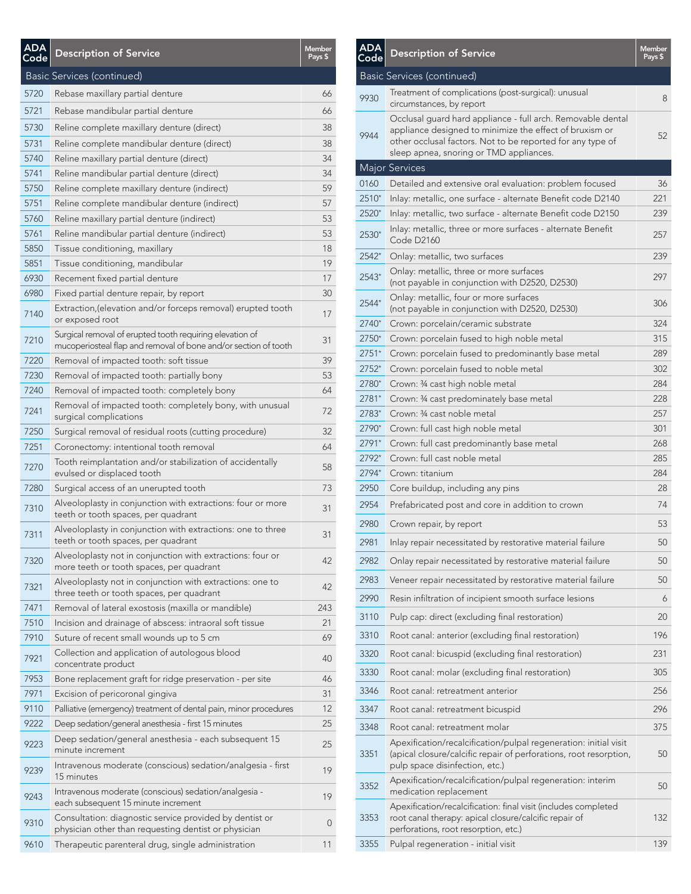| <b>ADA</b><br><u>Code</u> | <b>Description of Service</b>                                                                                               | <b>Member</b><br>Pays \$ |
|---------------------------|-----------------------------------------------------------------------------------------------------------------------------|--------------------------|
|                           | Basic Services (continued)                                                                                                  |                          |
| 5720                      | Rebase maxillary partial denture                                                                                            | 66                       |
| 5721                      | Rebase mandibular partial denture                                                                                           | 66                       |
| 5730                      | Reline complete maxillary denture (direct)                                                                                  | 38                       |
| 5731                      | Reline complete mandibular denture (direct)                                                                                 | 38                       |
| 5740                      | Reline maxillary partial denture (direct)                                                                                   | 34                       |
| 5741                      | Reline mandibular partial denture (direct)                                                                                  | 34                       |
| 5750                      | Reline complete maxillary denture (indirect)                                                                                | 59                       |
| 5751                      | Reline complete mandibular denture (indirect)                                                                               | 57                       |
| 5760                      | Reline maxillary partial denture (indirect)                                                                                 | 53                       |
| 5761                      | Reline mandibular partial denture (indirect)                                                                                | 53                       |
| 5850                      | Tissue conditioning, maxillary                                                                                              | 18                       |
| 5851                      | Tissue conditioning, mandibular                                                                                             | 19                       |
| 6930                      | Recement fixed partial denture                                                                                              | 17                       |
| 6980                      | Fixed partial denture repair, by report                                                                                     | 30                       |
| 7140                      | Extraction, (elevation and/or forceps removal) erupted tooth<br>or exposed root                                             | 17                       |
| 7210                      | Surgical removal of erupted tooth requiring elevation of<br>mucoperiosteal flap and removal of bone and/or section of tooth | 31                       |
| 7220                      | Removal of impacted tooth: soft tissue                                                                                      | 39                       |
| 7230                      | Removal of impacted tooth: partially bony                                                                                   | 53                       |
| 7240                      | Removal of impacted tooth: completely bony                                                                                  | 64                       |
| 7241                      | Removal of impacted tooth: completely bony, with unusual<br>surgical complications                                          | 72                       |
| 7250                      | Surgical removal of residual roots (cutting procedure)                                                                      | 32                       |
| 7251                      | Coronectomy: intentional tooth removal                                                                                      | 64                       |
| 7270                      | Tooth reimplantation and/or stabilization of accidentally<br>evulsed or displaced tooth                                     | 58                       |
| 7280                      | Surgical access of an unerupted tooth                                                                                       | 73                       |
| 7310                      | Alveoloplasty in conjunction with extractions: four or more<br>teeth or tooth spaces, per quadrant                          | 31                       |
| 7311                      | Alveoloplasty in conjunction with extractions: one to three<br>teeth or tooth spaces, per quadrant                          | 31                       |
| 7320                      | Alveoloplasty not in conjunction with extractions: four or<br>more teeth or tooth spaces, per quadrant                      | 42                       |
| 7321                      | Alveoloplasty not in conjunction with extractions: one to<br>three teeth or tooth spaces, per quadrant                      | 42                       |
| 7471                      | Removal of lateral exostosis (maxilla or mandible)                                                                          | 243                      |
| 7510                      | Incision and drainage of abscess: intraoral soft tissue                                                                     | 21                       |
| 7910                      | Suture of recent small wounds up to 5 cm                                                                                    | 69                       |
| 7921                      | Collection and application of autologous blood<br>concentrate product                                                       | 40                       |
| 7953                      | Bone replacement graft for ridge preservation - per site                                                                    | 46                       |
| 7971                      | Excision of pericoronal gingiva                                                                                             | 31                       |
| 9110                      | Palliative (emergency) treatment of dental pain, minor procedures                                                           | 12                       |
| 9222                      | Deep sedation/general anesthesia - first 15 minutes                                                                         | 25                       |
| 9223                      | Deep sedation/general anesthesia - each subsequent 15<br>minute increment                                                   | 25                       |
| 9239                      | Intravenous moderate (conscious) sedation/analgesia - first<br>15 minutes                                                   | 19                       |
| 9243                      | Intravenous moderate (conscious) sedation/analgesia -<br>each subsequent 15 minute increment                                | 19                       |
| 9310                      | Consultation: diagnostic service provided by dentist or<br>physician other than requesting dentist or physician             | 0                        |
| 9610                      | Therapeutic parenteral drug, single administration                                                                          | 11                       |

| <b>ADA</b><br>Code | <b>Description of Service</b>                                                                                                                                                                                                   | <b>Member</b><br>Pays \$ |
|--------------------|---------------------------------------------------------------------------------------------------------------------------------------------------------------------------------------------------------------------------------|--------------------------|
|                    | Basic Services (continued)                                                                                                                                                                                                      |                          |
| 9930               | Treatment of complications (post-surgical): unusual<br>circumstances, by report                                                                                                                                                 | 8                        |
| 9944               | Occlusal quard hard appliance - full arch. Removable dental<br>appliance designed to minimize the effect of bruxism or<br>other occlusal factors. Not to be reported for any type of<br>sleep apnea, snoring or TMD appliances. | 52                       |
|                    | Major Services                                                                                                                                                                                                                  |                          |
| 0160               | Detailed and extensive oral evaluation: problem focused                                                                                                                                                                         | 36                       |
| $2510*$            | Inlay: metallic, one surface - alternate Benefit code D2140                                                                                                                                                                     | 221                      |
| 2520*              | Inlay: metallic, two surface - alternate Benefit code D2150                                                                                                                                                                     | 239                      |
| $2530*$            | Inlay: metallic, three or more surfaces - alternate Benefit<br>Code D2160                                                                                                                                                       | 257                      |
| 2542*              | Onlay: metallic, two surfaces                                                                                                                                                                                                   | 239                      |
| $2543*$            | Onlay: metallic, three or more surfaces<br>(not payable in conjunction with D2520, D2530)                                                                                                                                       | 297                      |
| 2544*              | Onlay: metallic, four or more surfaces<br>(not payable in conjunction with D2520, D2530)                                                                                                                                        | 306                      |
| 2740*              | Crown: porcelain/ceramic substrate                                                                                                                                                                                              | 324                      |
| 2750*              | Crown: porcelain fused to high noble metal                                                                                                                                                                                      | 315                      |
| $2751*$            | Crown: porcelain fused to predominantly base metal                                                                                                                                                                              | 289                      |
| $2752*$            | Crown: porcelain fused to noble metal                                                                                                                                                                                           | 302                      |
| 2780*              | Crown: 34 cast high noble metal                                                                                                                                                                                                 | 284                      |
| 2781*              | Crown: 34 cast predominately base metal                                                                                                                                                                                         | 228                      |
| 2783*              | Crown: 34 cast noble metal                                                                                                                                                                                                      | 257                      |
| 2790*              | Crown: full cast high noble metal                                                                                                                                                                                               | 301                      |
| $2791*$            | Crown: full cast predominantly base metal                                                                                                                                                                                       | 268                      |
| 2792*<br>2794*     | Crown: full cast noble metal<br>Crown: titanium                                                                                                                                                                                 | 285<br>284               |
| 2950               | Core buildup, including any pins                                                                                                                                                                                                | 28                       |
| 2954               | Prefabricated post and core in addition to crown                                                                                                                                                                                | 74                       |
| 2980               | Crown repair, by report                                                                                                                                                                                                         | 53                       |
| 2981               | Inlay repair necessitated by restorative material failure                                                                                                                                                                       | 50                       |
| 2982               | Onlay repair necessitated by restorative material failure                                                                                                                                                                       | 50                       |
| 2983               | Veneer repair necessitated by restorative material failure                                                                                                                                                                      | 50                       |
| 2990               | Resin infiltration of incipient smooth surface lesions                                                                                                                                                                          | 6                        |
| 3110               | Pulp cap: direct (excluding final restoration)                                                                                                                                                                                  | 20                       |
| 3310               | Root canal: anterior (excluding final restoration)                                                                                                                                                                              | 196                      |
| 3320               | Root canal: bicuspid (excluding final restoration)                                                                                                                                                                              | 231                      |
| 3330               | Root canal: molar (excluding final restoration)                                                                                                                                                                                 | 305                      |
| 3346               | Root canal: retreatment anterior                                                                                                                                                                                                | 256                      |
| 3347               | Root canal: retreatment bicuspid                                                                                                                                                                                                | 296                      |
| 3348               | Root canal: retreatment molar                                                                                                                                                                                                   | 375                      |
| 3351               | Apexification/recalcification/pulpal regeneration: initial visit<br>(apical closure/calcific repair of perforations, root resorption,<br>pulp space disinfection, etc.)                                                         | 50                       |
| 3352               | Apexification/recalcification/pulpal regeneration: interim<br>medication replacement                                                                                                                                            | 50                       |
| 3353               | Apexification/recalcification: final visit (includes completed<br>root canal therapy: apical closure/calcific repair of<br>perforations, root resorption, etc.)                                                                 | 132                      |
| 3355               | Pulpal regeneration - initial visit                                                                                                                                                                                             | 139                      |
|                    |                                                                                                                                                                                                                                 |                          |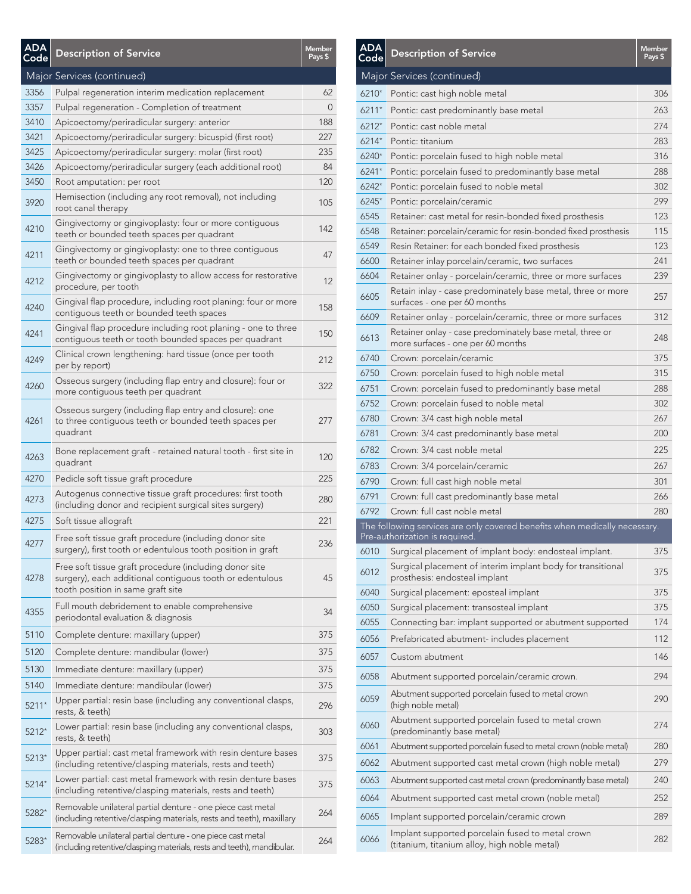| <b>ADA</b><br>Code | <b>Description of Service</b>                                                                                                                           | <b>Member</b><br>Pays \$ |
|--------------------|---------------------------------------------------------------------------------------------------------------------------------------------------------|--------------------------|
|                    | Major Services (continued)                                                                                                                              |                          |
| 3356               | Pulpal regeneration interim medication replacement                                                                                                      | 62                       |
| 3357               | Pulpal regeneration - Completion of treatment                                                                                                           | $\Omega$                 |
| 3410               | Apicoectomy/periradicular surgery: anterior                                                                                                             | 188                      |
| 3421               | Apicoectomy/periradicular surgery: bicuspid (first root)                                                                                                | 227                      |
| 3425               | Apicoectomy/periradicular surgery: molar (first root)                                                                                                   | 235                      |
| 3426               | Apicoectomy/periradicular surgery (each additional root)                                                                                                | 84                       |
| 3450               | Root amputation: per root                                                                                                                               | 120                      |
| 3920               | Hemisection (including any root removal), not including<br>root canal therapy                                                                           | 105                      |
| 4210               | Gingivectomy or gingivoplasty: four or more contiguous<br>teeth or bounded teeth spaces per quadrant                                                    | 142                      |
| 4211               | Gingivectomy or gingivoplasty: one to three contiguous<br>teeth or bounded teeth spaces per quadrant                                                    | 47                       |
| 4212               | Gingivectomy or gingivoplasty to allow access for restorative<br>procedure, per tooth                                                                   | 12                       |
| 4240               | Gingival flap procedure, including root planing: four or more<br>contiquous teeth or bounded teeth spaces                                               | 158                      |
| 4241               | Gingival flap procedure including root planing - one to three<br>contiguous teeth or tooth bounded spaces per quadrant                                  | 150                      |
| 4249               | Clinical crown lengthening: hard tissue (once per tooth<br>per by report)                                                                               | 212                      |
| 4260               | Osseous surgery (including flap entry and closure): four or<br>more contiguous teeth per quadrant                                                       | 322                      |
| 4261               | Osseous surgery (including flap entry and closure): one<br>to three contiguous teeth or bounded teeth spaces per<br>quadrant                            | 277                      |
| 4263               | Bone replacement graft - retained natural tooth - first site in<br>quadrant                                                                             | 120                      |
| 4270               | Pedicle soft tissue graft procedure                                                                                                                     | 225                      |
| 4273               | Autogenus connective tissue graft procedures: first tooth<br>(including donor and recipient surgical sites surgery)                                     | 280                      |
| 4275               | Soft tissue allograft                                                                                                                                   | 221                      |
| 4277               | Free soft tissue graft procedure (including donor site<br>surgery), first tooth or edentulous tooth position in graft                                   | 236                      |
| 4278               | Free soft tissue graft procedure (including donor site<br>surgery), each additional contiguous tooth or edentulous<br>tooth position in same graft site | 45                       |
| 4355               | Full mouth debridement to enable comprehensive<br>periodontal evaluation & diagnosis                                                                    | 34                       |
| 5110               | Complete denture: maxillary (upper)                                                                                                                     | 375                      |
| 5120               | Complete denture: mandibular (lower)                                                                                                                    | 375                      |
| 5130               | Immediate denture: maxillary (upper)                                                                                                                    | 375                      |
| 5140               | Immediate denture: mandibular (lower)                                                                                                                   | 375                      |
| 5211*              | Upper partial: resin base (including any conventional clasps,<br>rests, & teeth)                                                                        | 296                      |
| 5212*              | Lower partial: resin base (including any conventional clasps,<br>rests, & teeth)                                                                        | 303                      |
| $5213*$            | Upper partial: cast metal framework with resin denture bases<br>(including retentive/clasping materials, rests and teeth)                               | 375                      |
| 5214*              | Lower partial: cast metal framework with resin denture bases<br>(including retentive/clasping materials, rests and teeth)                               | 375                      |
| 5282*              | Removable unilateral partial denture - one piece cast metal<br>(including retentive/clasping materials, rests and teeth), maxillary                     | 264                      |
| 5283*              | Removable unilateral partial denture - one piece cast metal<br>(including retentive/clasping materials, rests and teeth), mandibular.                   | 264                      |

| <b>ADA</b><br>Code | <b>Description of Service</b>                                                                                | <b>Member</b><br>Pays \$ |
|--------------------|--------------------------------------------------------------------------------------------------------------|--------------------------|
|                    | Major Services (continued)                                                                                   |                          |
| 6210*              | Pontic: cast high noble metal                                                                                | 306                      |
| $6211*$            | Pontic: cast predominantly base metal                                                                        | 263                      |
| $6212*$            | Pontic: cast noble metal                                                                                     | 274                      |
| 6214*              | Pontic: titanium                                                                                             | 283                      |
| 6240*              | Pontic: porcelain fused to high noble metal                                                                  | 316                      |
| $6241*$            | Pontic: porcelain fused to predominantly base metal                                                          | 288                      |
| $6242*$            | Pontic: porcelain fused to noble metal                                                                       | 302                      |
| 6245*              | Pontic: porcelain/ceramic                                                                                    | 299                      |
| 6545               | Retainer: cast metal for resin-bonded fixed prosthesis                                                       | 123                      |
| 6548               | Retainer: porcelain/ceramic for resin-bonded fixed prosthesis                                                | 115                      |
| 6549               | Resin Retainer: for each bonded fixed prosthesis                                                             | 123                      |
| 6600               | Retainer inlay porcelain/ceramic, two surfaces                                                               | 241                      |
| 6604               | Retainer onlay - porcelain/ceramic, three or more surfaces                                                   | 239                      |
| 6605               | Retain inlay - case predominately base metal, three or more<br>surfaces - one per 60 months                  | 257                      |
| 6609               | Retainer onlay - porcelain/ceramic, three or more surfaces                                                   | 312                      |
| 6613               | Retainer onlay - case predominately base metal, three or<br>more surfaces - one per 60 months                | 248                      |
| 6740               | Crown: porcelain/ceramic                                                                                     | 375                      |
| 6750               | Crown: porcelain fused to high noble metal                                                                   | 315                      |
| 6751               | Crown: porcelain fused to predominantly base metal                                                           | 288                      |
| 6752               | Crown: porcelain fused to noble metal                                                                        | 302                      |
| 6780               | Crown: 3/4 cast high noble metal                                                                             | 267                      |
| 6781               | Crown: 3/4 cast predominantly base metal                                                                     | 200                      |
| 6782               | Crown: 3/4 cast noble metal                                                                                  | 225                      |
| 6783               | Crown: 3/4 porcelain/ceramic                                                                                 | 267                      |
| 6790               | Crown: full cast high noble metal                                                                            | 301                      |
| 6791               | Crown: full cast predominantly base metal                                                                    | 266                      |
| 6792               | Crown: full cast noble metal                                                                                 | 280                      |
|                    | The following services are only covered benefits when medically necessary.<br>Pre-authorization is required. |                          |
|                    | 6010 Surgical placement of implant body: endosteal implant.                                                  | 375                      |
| 6012               | Surgical placement of interim implant body for transitional<br>prosthesis: endosteal implant                 | 375                      |
| 6040               | Surgical placement: eposteal implant                                                                         | 375                      |
| 6050               | Surgical placement: transosteal implant                                                                      | 375                      |
| 6055               | Connecting bar: implant supported or abutment supported                                                      | 174                      |
| 6056               | Prefabricated abutment- includes placement                                                                   | 112                      |
| 6057               | Custom abutment                                                                                              | 146                      |
| 6058               | Abutment supported porcelain/ceramic crown.                                                                  | 294                      |
| 6059               | Abutment supported porcelain fused to metal crown<br>(high noble metal)                                      | 290                      |
| 6060               | Abutment supported porcelain fused to metal crown<br>(predominantly base metal)                              | 274                      |
| 6061               | Abutment supported porcelain fused to metal crown (noble metal)                                              | 280                      |
| 6062               | Abutment supported cast metal crown (high noble metal)                                                       | 279                      |
| 6063               | Abutment supported cast metal crown (predominantly base metal)                                               | 240                      |
| 6064               | Abutment supported cast metal crown (noble metal)                                                            | 252                      |
| 6065               | Implant supported porcelain/ceramic crown                                                                    | 289                      |
| 6066               | Implant supported porcelain fused to metal crown<br>(titanium, titanium alloy, high noble metal)             | 282                      |
|                    |                                                                                                              |                          |